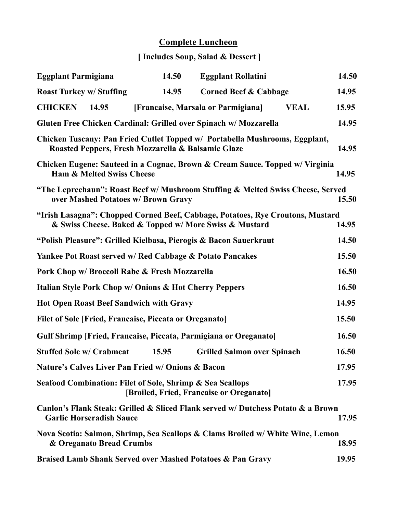## **Complete Luncheon**

## **[ Includes Soup, Salad & Dessert ]**

| <b>Eggplant Parmigiana</b>                                        |                                      | 14.50                                                               | <b>Eggplant Rollatini</b>                                                                                                                |             | 14.50 |
|-------------------------------------------------------------------|--------------------------------------|---------------------------------------------------------------------|------------------------------------------------------------------------------------------------------------------------------------------|-------------|-------|
| <b>Roast Turkey w/ Stuffing</b>                                   |                                      | 14.95                                                               | <b>Corned Beef &amp; Cabbage</b>                                                                                                         |             | 14.95 |
| <b>CHICKEN</b>                                                    | 14.95                                |                                                                     | [Francaise, Marsala or Parmigiana]                                                                                                       | <b>VEAL</b> | 15.95 |
|                                                                   |                                      |                                                                     | Gluten Free Chicken Cardinal: Grilled over Spinach w/ Mozzarella                                                                         |             | 14.95 |
|                                                                   |                                      | Roasted Peppers, Fresh Mozzarella & Balsamic Glaze                  | Chicken Tuscany: Pan Fried Cutlet Topped w/ Portabella Mushrooms, Eggplant,                                                              |             | 14.95 |
|                                                                   | <b>Ham &amp; Melted Swiss Cheese</b> |                                                                     | Chicken Eugene: Sauteed in a Cognac, Brown & Cream Sauce. Topped w/ Virginia                                                             |             | 14.95 |
|                                                                   |                                      | over Mashed Potatoes w/ Brown Gravy                                 | "The Leprechaun": Roast Beef w/ Mushroom Stuffing & Melted Swiss Cheese, Served                                                          |             | 15.50 |
|                                                                   |                                      |                                                                     | "Irish Lasagna": Chopped Corned Beef, Cabbage, Potatoes, Rye Croutons, Mustard<br>& Swiss Cheese. Baked & Topped w/ More Swiss & Mustard |             | 14.95 |
|                                                                   |                                      |                                                                     | "Polish Pleasure": Grilled Kielbasa, Pierogis & Bacon Sauerkraut                                                                         |             | 14.50 |
|                                                                   |                                      | <b>Yankee Pot Roast served w/ Red Cabbage &amp; Potato Pancakes</b> |                                                                                                                                          |             | 15.50 |
| Pork Chop w/ Broccoli Rabe & Fresh Mozzarella                     |                                      |                                                                     |                                                                                                                                          |             |       |
| <b>Italian Style Pork Chop w/ Onions &amp; Hot Cherry Peppers</b> |                                      |                                                                     |                                                                                                                                          |             |       |
| <b>Hot Open Roast Beef Sandwich with Gravy</b>                    |                                      |                                                                     |                                                                                                                                          |             |       |
| Filet of Sole [Fried, Francaise, Piccata or Oreganato]<br>15.50   |                                      |                                                                     |                                                                                                                                          |             |       |
|                                                                   |                                      |                                                                     | Gulf Shrimp [Fried, Francaise, Piccata, Parmigiana or Oreganato]                                                                         |             | 16.50 |
| <b>Stuffed Sole w/ Crabmeat</b>                                   |                                      | 15.95                                                               | <b>Grilled Salmon over Spinach</b>                                                                                                       |             | 16.50 |
|                                                                   |                                      | <b>Nature's Calves Liver Pan Fried w/ Onions &amp; Bacon</b>        |                                                                                                                                          |             | 17.95 |
|                                                                   |                                      | Seafood Combination: Filet of Sole, Shrimp & Sea Scallops           | [Broiled, Fried, Francaise or Oreganato]                                                                                                 |             | 17.95 |
|                                                                   | <b>Garlic Horseradish Sauce</b>      |                                                                     | Canlon's Flank Steak: Grilled & Sliced Flank served w/ Dutchess Potato & a Brown                                                         |             | 17.95 |
|                                                                   | & Oreganato Bread Crumbs             |                                                                     | Nova Scotia: Salmon, Shrimp, Sea Scallops & Clams Broiled w/ White Wine, Lemon                                                           |             | 18.95 |
|                                                                   |                                      |                                                                     | <b>Braised Lamb Shank Served over Mashed Potatoes &amp; Pan Gravy</b>                                                                    |             | 19.95 |